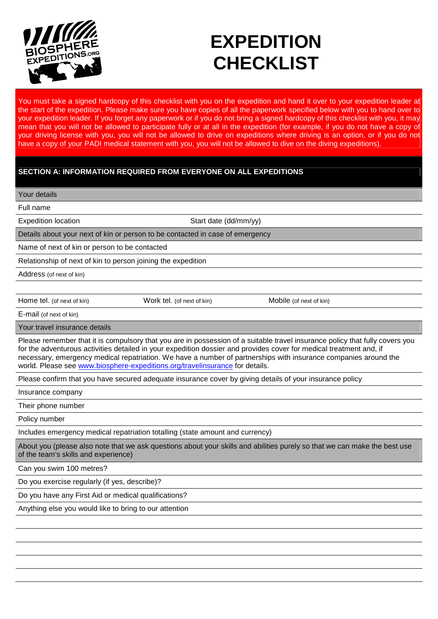

# **EXPEDITION CHECKLIST**

You must take a signed hardcopy of this checklist with you on the expedition and hand it over to your expedition leader at the start of the expedition. Please make sure you have copies of all the paperwork specified below with you to hand over to your expedition leader. If you forget any paperwork or if you do not bring a signed hardcopy of this checklist with you, it may mean that you will not be allowed to participate fully or at all in the expedition (for example, if you do not have a copy of your driving license with you, you will not be allowed to drive on expeditions where driving is an option, or if you do not have a copy of your PADI medical statement with you, you will not be allowed to dive on the diving expeditions).

## **SECTION A: INFORMATION REQUIRED FROM EVERYONE ON ALL EXPEDITIONS**

Your details

Full name

Expedition location Start date (dd/mm/yy)

Details about your next of kin or person to be contacted in case of emergency

Name of next of kin or person to be contacted

Relationship of next of kin to person joining the expedition

Address (of next of kin)

Home tel. (of next of kin) Work tel. (of next of kin) Mobile (of next of kin)

E-mail (of next of kin)

Your travel insurance details

Please remember that it is compulsory that you are in possession of a suitable travel insurance policy that fully covers you for the adventurous activities detailed in your expedition dossier and provides cover for medical treatment and, if necessary, emergency medical repatriation. We have a number of partnerships with insurance companies around the world. Please see www.biosphere-expeditions.org/travelinsurance for details.

Please confirm that you have secured adequate insurance cover by giving details of your insurance policy

Insurance company

Their phone number

Policy number

Includes emergency medical repatriation totalling (state amount and currency)

About you (please also note that we ask questions about your skills and abilities purely so that we can make the best use of the team's skills and experience)

Can you swim 100 metres?

Do you exercise regularly (if yes, describe)?

Do you have any First Aid or medical qualifications?

Anything else you would like to bring to our attention